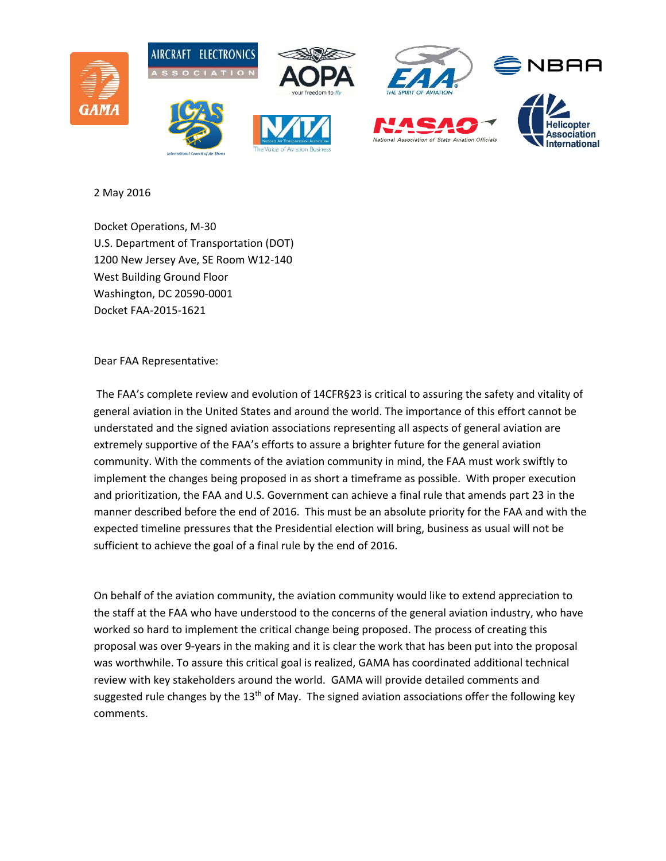

2 May 2016

Docket Operations, M‐30 U.S. Department of Transportation (DOT) 1200 New Jersey Ave, SE Room W12‐140 West Building Ground Floor Washington, DC 20590‐0001 Docket FAA‐2015‐1621

Dear FAA Representative:

The FAA's complete review and evolution of 14CFR§23 is critical to assuring the safety and vitality of general aviation in the United States and around the world. The importance of this effort cannot be understated and the signed aviation associations representing all aspects of general aviation are extremely supportive of the FAA's efforts to assure a brighter future for the general aviation community. With the comments of the aviation community in mind, the FAA must work swiftly to implement the changes being proposed in as short a timeframe as possible. With proper execution and prioritization, the FAA and U.S. Government can achieve a final rule that amends part 23 in the manner described before the end of 2016. This must be an absolute priority for the FAA and with the expected timeline pressures that the Presidential election will bring, business as usual will not be sufficient to achieve the goal of a final rule by the end of 2016.

On behalf of the aviation community, the aviation community would like to extend appreciation to the staff at the FAA who have understood to the concerns of the general aviation industry, who have worked so hard to implement the critical change being proposed. The process of creating this proposal was over 9‐years in the making and it is clear the work that has been put into the proposal was worthwhile. To assure this critical goal is realized, GAMA has coordinated additional technical review with key stakeholders around the world. GAMA will provide detailed comments and suggested rule changes by the  $13<sup>th</sup>$  of May. The signed aviation associations offer the following key comments.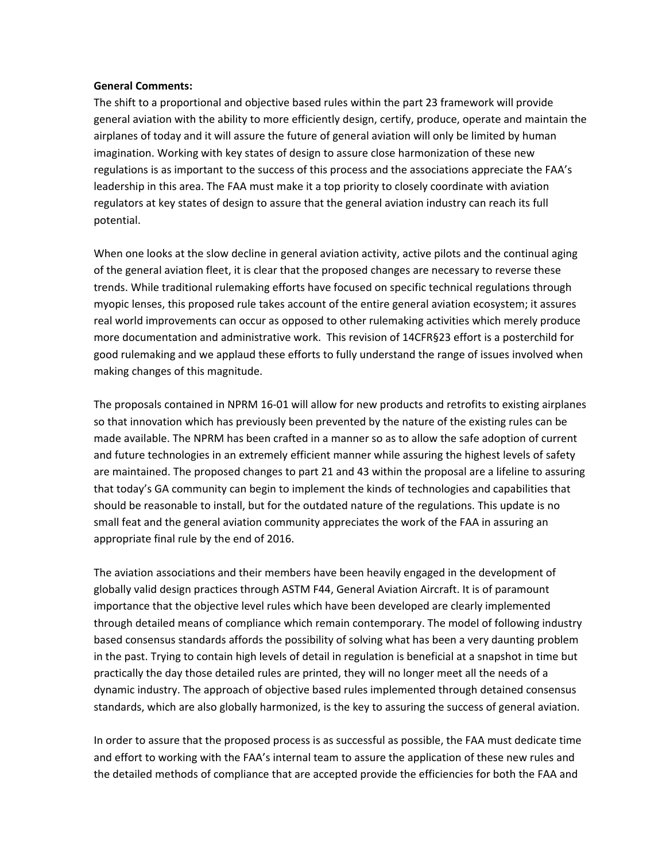## **General Comments:**

The shift to a proportional and objective based rules within the part 23 framework will provide general aviation with the ability to more efficiently design, certify, produce, operate and maintain the airplanes of today and it will assure the future of general aviation will only be limited by human imagination. Working with key states of design to assure close harmonization of these new regulations is as important to the success of this process and the associations appreciate the FAA's leadership in this area. The FAA must make it a top priority to closely coordinate with aviation regulators at key states of design to assure that the general aviation industry can reach its full potential.

When one looks at the slow decline in general aviation activity, active pilots and the continual aging of the general aviation fleet, it is clear that the proposed changes are necessary to reverse these trends. While traditional rulemaking efforts have focused on specific technical regulations through myopic lenses, this proposed rule takes account of the entire general aviation ecosystem; it assures real world improvements can occur as opposed to other rulemaking activities which merely produce more documentation and administrative work. This revision of 14CFR§23 effort is a posterchild for good rulemaking and we applaud these efforts to fully understand the range of issues involved when making changes of this magnitude.

The proposals contained in NPRM 16‐01 will allow for new products and retrofits to existing airplanes so that innovation which has previously been prevented by the nature of the existing rules can be made available. The NPRM has been crafted in a manner so as to allow the safe adoption of current and future technologies in an extremely efficient manner while assuring the highest levels of safety are maintained. The proposed changes to part 21 and 43 within the proposal are a lifeline to assuring that today's GA community can begin to implement the kinds of technologies and capabilities that should be reasonable to install, but for the outdated nature of the regulations. This update is no small feat and the general aviation community appreciates the work of the FAA in assuring an appropriate final rule by the end of 2016.

The aviation associations and their members have been heavily engaged in the development of globally valid design practices through ASTM F44, General Aviation Aircraft. It is of paramount importance that the objective level rules which have been developed are clearly implemented through detailed means of compliance which remain contemporary. The model of following industry based consensus standards affords the possibility of solving what has been a very daunting problem in the past. Trying to contain high levels of detail in regulation is beneficial at a snapshot in time but practically the day those detailed rules are printed, they will no longer meet all the needs of a dynamic industry. The approach of objective based rules implemented through detained consensus standards, which are also globally harmonized, is the key to assuring the success of general aviation.

In order to assure that the proposed process is as successful as possible, the FAA must dedicate time and effort to working with the FAA's internal team to assure the application of these new rules and the detailed methods of compliance that are accepted provide the efficiencies for both the FAA and